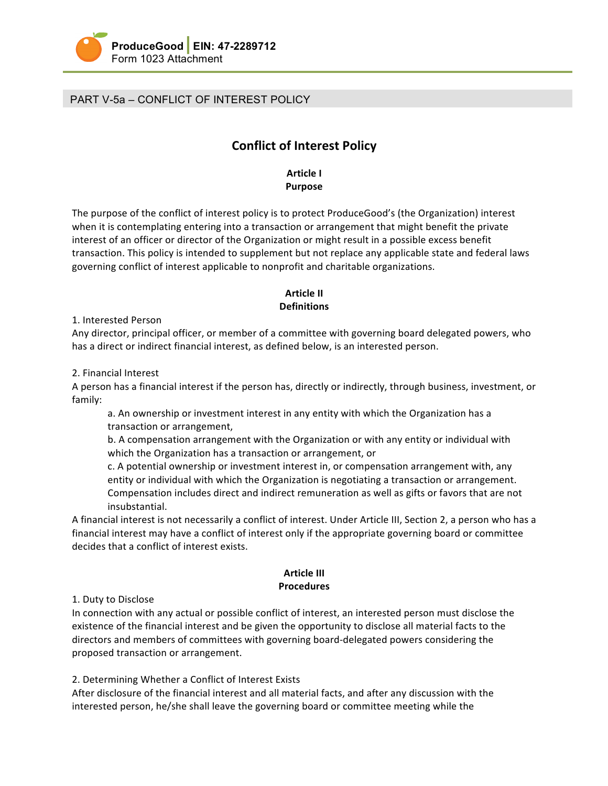

PART V-5a – CONFLICT OF INTEREST POLICY

# **Conflict of Interest Policy**

**Article I Purpose**

The purpose of the conflict of interest policy is to protect ProduceGood's (the Organization) interest when it is contemplating entering into a transaction or arrangement that might benefit the private interest of an officer or director of the Organization or might result in a possible excess benefit transaction. This policy is intended to supplement but not replace any applicable state and federal laws governing conflict of interest applicable to nonprofit and charitable organizations.

## **Article II Definitions**

1. Interested Person

Any director, principal officer, or member of a committee with governing board delegated powers, who has a direct or indirect financial interest, as defined below, is an interested person.

2. Financial Interest

A person has a financial interest if the person has, directly or indirectly, through business, investment, or family:

a. An ownership or investment interest in any entity with which the Organization has a transaction or arrangement,

b. A compensation arrangement with the Organization or with any entity or individual with which the Organization has a transaction or arrangement, or

c. A potential ownership or investment interest in, or compensation arrangement with, any entity or individual with which the Organization is negotiating a transaction or arrangement. Compensation includes direct and indirect remuneration as well as gifts or favors that are not insubstantial.

A financial interest is not necessarily a conflict of interest. Under Article III, Section 2, a person who has a financial interest may have a conflict of interest only if the appropriate governing board or committee decides that a conflict of interest exists.

## **Article III Procedures**

1. Duty to Disclose

In connection with any actual or possible conflict of interest, an interested person must disclose the existence of the financial interest and be given the opportunity to disclose all material facts to the directors and members of committees with governing board-delegated powers considering the proposed transaction or arrangement.

2. Determining Whether a Conflict of Interest Exists

After disclosure of the financial interest and all material facts, and after any discussion with the interested person, he/she shall leave the governing board or committee meeting while the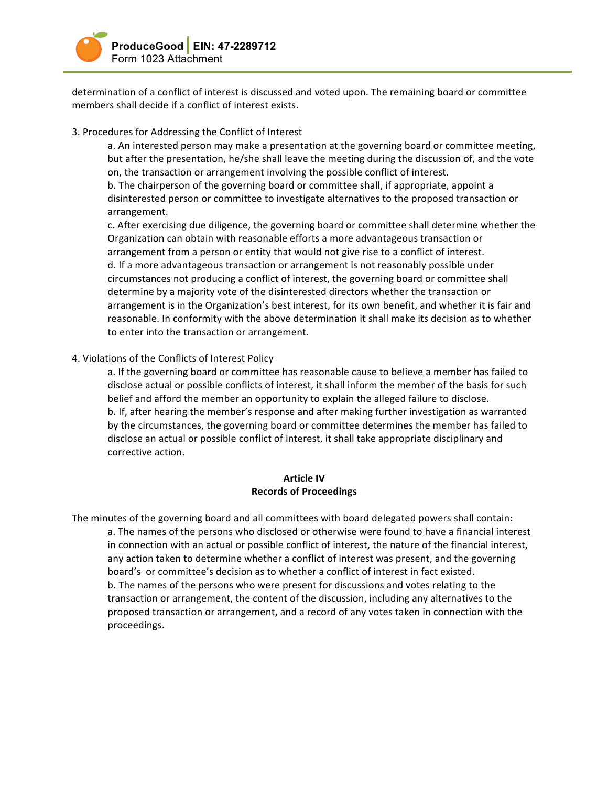determination of a conflict of interest is discussed and voted upon. The remaining board or committee members shall decide if a conflict of interest exists.

#### 3. Procedures for Addressing the Conflict of Interest

a. An interested person may make a presentation at the governing board or committee meeting, but after the presentation, he/she shall leave the meeting during the discussion of, and the vote on, the transaction or arrangement involving the possible conflict of interest.

b. The chairperson of the governing board or committee shall, if appropriate, appoint a disinterested person or committee to investigate alternatives to the proposed transaction or arrangement.

c. After exercising due diligence, the governing board or committee shall determine whether the Organization can obtain with reasonable efforts a more advantageous transaction or arrangement from a person or entity that would not give rise to a conflict of interest. d. If a more advantageous transaction or arrangement is not reasonably possible under circumstances not producing a conflict of interest, the governing board or committee shall determine by a majority vote of the disinterested directors whether the transaction or arrangement is in the Organization's best interest, for its own benefit, and whether it is fair and reasonable. In conformity with the above determination it shall make its decision as to whether to enter into the transaction or arrangement.

## 4. Violations of the Conflicts of Interest Policy

a. If the governing board or committee has reasonable cause to believe a member has failed to disclose actual or possible conflicts of interest, it shall inform the member of the basis for such belief and afford the member an opportunity to explain the alleged failure to disclose. b. If, after hearing the member's response and after making further investigation as warranted by the circumstances, the governing board or committee determines the member has failed to disclose an actual or possible conflict of interest, it shall take appropriate disciplinary and corrective action.

#### **Article IV Records of Proceedings**

The minutes of the governing board and all committees with board delegated powers shall contain: a. The names of the persons who disclosed or otherwise were found to have a financial interest in connection with an actual or possible conflict of interest, the nature of the financial interest, any action taken to determine whether a conflict of interest was present, and the governing board's or committee's decision as to whether a conflict of interest in fact existed. b. The names of the persons who were present for discussions and votes relating to the transaction or arrangement, the content of the discussion, including any alternatives to the proposed transaction or arrangement, and a record of any votes taken in connection with the proceedings.